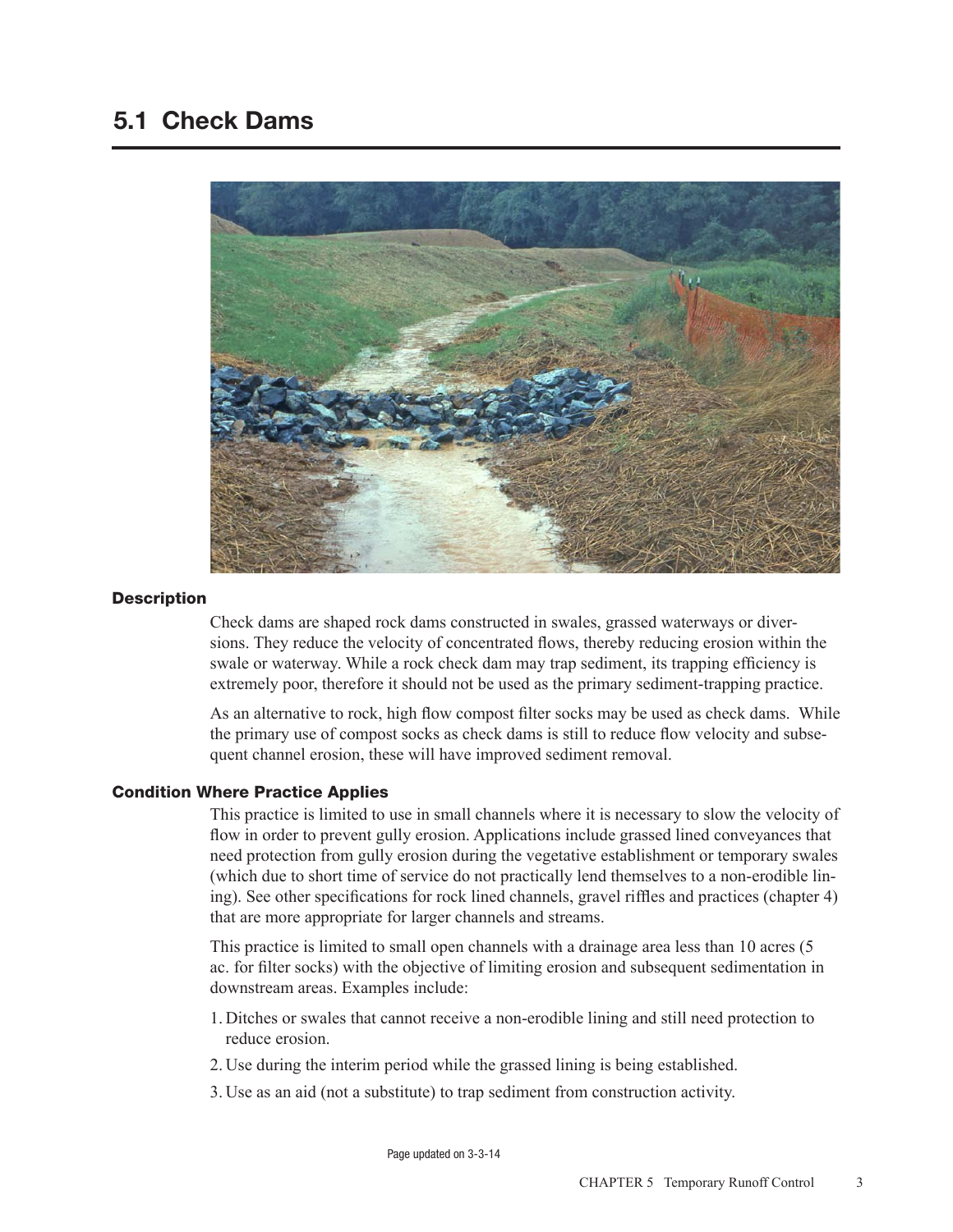## 5.1 Check Dams



#### **Description**

Check dams are shaped rock dams constructed in swales, grassed waterways or diversions. They reduce the velocity of concentrated flows, thereby reducing erosion within the swale or waterway. While a rock check dam may trap sediment, its trapping efficiency is extremely poor, therefore it should not be used as the primary sediment-trapping practice.

As an alternative to rock, high flow compost filter socks may be used as check dams. While the primary use of compost socks as check dams is still to reduce flow velocity and subsequent channel erosion, these will have improved sediment removal.

#### Condition Where Practice Applies

This practice is limited to use in small channels where it is necessary to slow the velocity of flow in order to prevent gully erosion. Applications include grassed lined conveyances that need protection from gully erosion during the vegetative establishment or temporary swales (which due to short time of service do not practically lend themselves to a non-erodible lining). See other specifications for rock lined channels, gravel riffles and practices (chapter 4) that are more appropriate for larger channels and streams.

This practice is limited to small open channels with a drainage area less than 10 acres (5 ac. for filter socks) with the objective of limiting erosion and subsequent sedimentation in downstream areas. Examples include:

- 1. Ditches or swales that cannot receive a non-erodible lining and still need protection to reduce erosion.
- 2. Use during the interim period while the grassed lining is being established.
- 3. Use as an aid (not a substitute) to trap sediment from construction activity.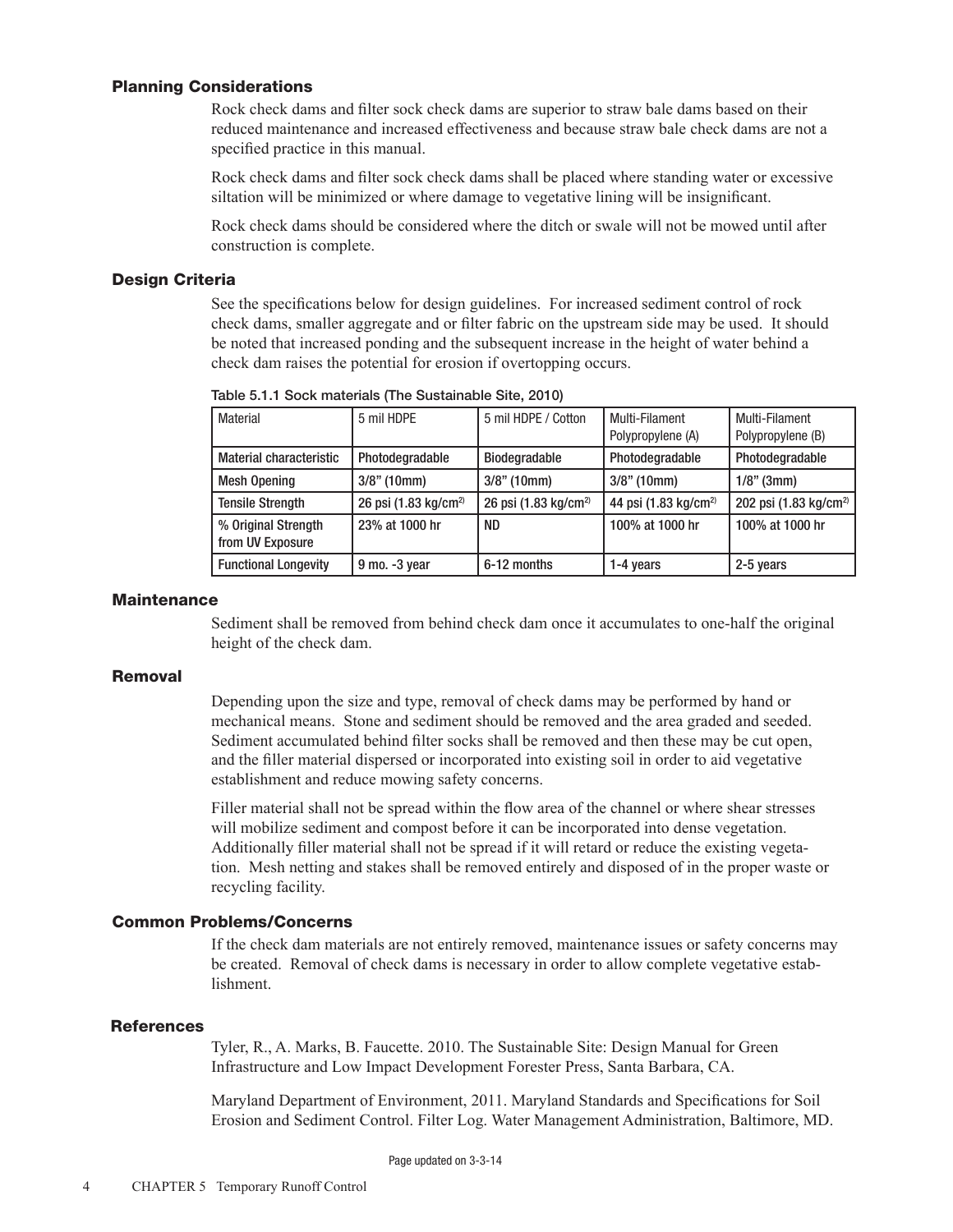#### Planning Considerations

Rock check dams and filter sock check dams are superior to straw bale dams based on their reduced maintenance and increased effectiveness and because straw bale check dams are not a specified practice in this manual.

Rock check dams and filter sock check dams shall be placed where standing water or excessive siltation will be minimized or where damage to vegetative lining will be insignificant.

Rock check dams should be considered where the ditch or swale will not be mowed until after construction is complete.

#### Design Criteria

See the specifications below for design guidelines. For increased sediment control of rock check dams, smaller aggregate and or filter fabric on the upstream side may be used. It should be noted that increased ponding and the subsequent increase in the height of water behind a check dam raises the potential for erosion if overtopping occurs.

| Material                                | 5 mil HDPE                       | 5 mil HDPE / Cotton              | Multi-Filament<br>Polypropylene (A) | Multi-Filament<br>Polypropylene (B) |
|-----------------------------------------|----------------------------------|----------------------------------|-------------------------------------|-------------------------------------|
| <b>Material characteristic</b>          | Photodegradable                  | <b>Biodegradable</b>             | Photodegradable                     | Photodegradable                     |
| <b>Mesh Opening</b>                     | $3/8$ " (10mm)                   | $3/8$ " (10mm)                   | $3/8$ " (10mm)                      | $1/8$ " (3mm)                       |
| <b>Tensile Strength</b>                 | 26 psi (1.83 kg/cm <sup>2)</sup> | 26 psi (1.83 kg/cm <sup>2)</sup> | 44 psi (1.83 kg/cm <sup>2)</sup>    | 202 psi (1.83 kg/cm <sup>2)</sup>   |
| % Original Strength<br>from UV Exposure | 23% at 1000 hr                   | ND.                              | 100% at 1000 hr                     | 100% at 1000 hr                     |
| <b>Functional Longevity</b>             | $9$ mo. $-3$ year                | 6-12 months                      | 1-4 years                           | 2-5 years                           |

Table 5.1.1 Sock materials (The Sustainable Site, 2010)

#### **Maintenance**

Sediment shall be removed from behind check dam once it accumulates to one-half the original height of the check dam.

#### Removal

Depending upon the size and type, removal of check dams may be performed by hand or mechanical means. Stone and sediment should be removed and the area graded and seeded. Sediment accumulated behind filter socks shall be removed and then these may be cut open, and the filler material dispersed or incorporated into existing soil in order to aid vegetative establishment and reduce mowing safety concerns.

Filler material shall not be spread within the flow area of the channel or where shear stresses will mobilize sediment and compost before it can be incorporated into dense vegetation. Additionally filler material shall not be spread if it will retard or reduce the existing vegetation. Mesh netting and stakes shall be removed entirely and disposed of in the proper waste or recycling facility.

#### Common Problems/Concerns

If the check dam materials are not entirely removed, maintenance issues or safety concerns may be created. Removal of check dams is necessary in order to allow complete vegetative establishment.

#### **References**

Tyler, R., A. Marks, B. Faucette. 2010. The Sustainable Site: Design Manual for Green Infrastructure and Low Impact Development Forester Press, Santa Barbara, CA.

Maryland Department of Environment, 2011. Maryland Standards and Specifications for Soil Erosion and Sediment Control. Filter Log. Water Management Administration, Baltimore, MD.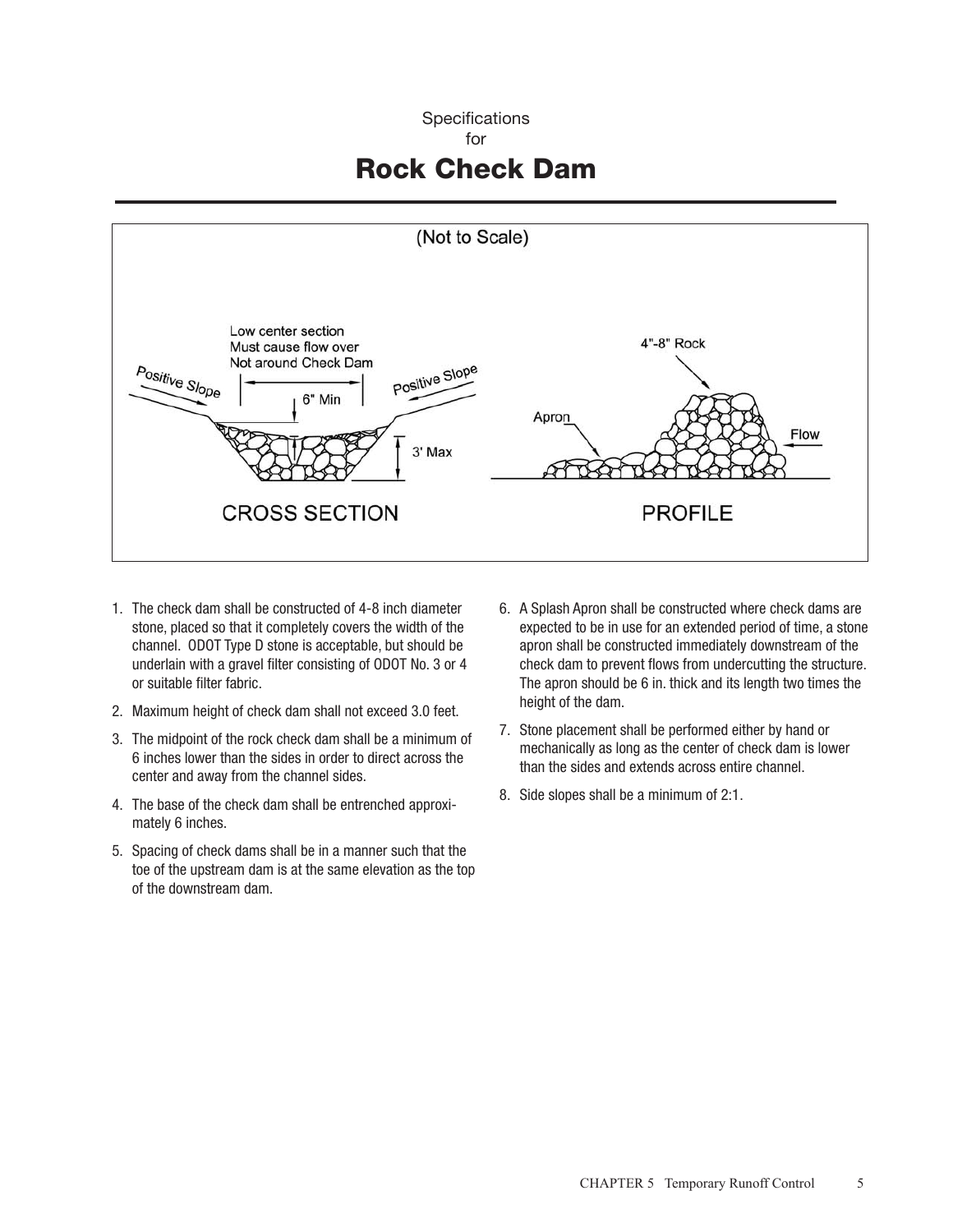### **Specifications**

#### for

# Rock Check Dam



- 1. The check dam shall be constructed of 4-8 inch diameter stone, placed so that it completely covers the width of the channel. ODOT Type D stone is acceptable, but should be underlain with a gravel filter consisting of ODOT No. 3 or 4 or suitable filter fabric.
- 2. Maximum height of check dam shall not exceed 3.0 feet.
- 3. The midpoint of the rock check dam shall be a minimum of 6 inches lower than the sides in order to direct across the center and away from the channel sides.
- 4. The base of the check dam shall be entrenched approximately 6 inches.
- 5. Spacing of check dams shall be in a manner such that the toe of the upstream dam is at the same elevation as the top of the downstream dam.
- 6. A Splash Apron shall be constructed where check dams are expected to be in use for an extended period of time, a stone apron shall be constructed immediately downstream of the check dam to prevent flows from undercutting the structure. The apron should be 6 in. thick and its length two times the height of the dam.
- 7. Stone placement shall be performed either by hand or mechanically as long as the center of check dam is lower than the sides and extends across entire channel.
- 8. Side slopes shall be a minimum of 2:1.